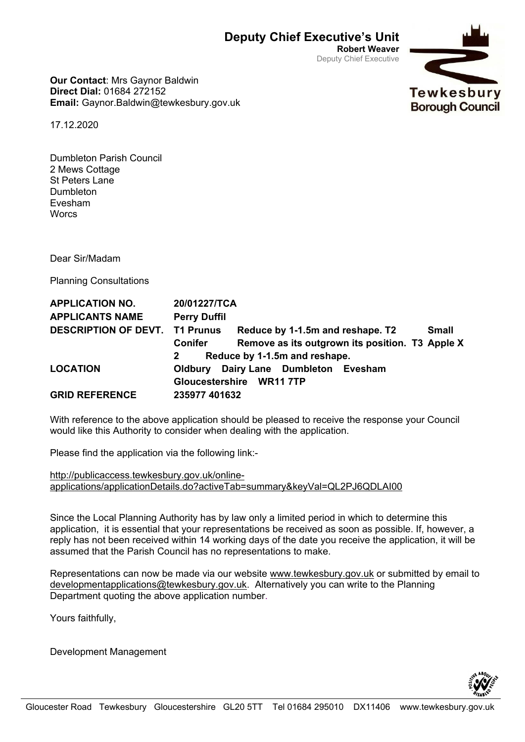**Robert Weaver** Deputy Chief Executive

**Our Contact**: Mrs Gaynor Baldwin **Direct Dial:** 01684 272152 **Email:** Gaynor.Baldwin@tewkesbury.gov.uk

17.12.2020

Dumbleton Parish Council 2 Mews Cottage St Peters Lane Dumbleton Evesham **Worcs** 

Dear Sir/Madam

Planning Consultations

| <b>APPLICATION NO.</b>                | 20/01227/TCA                                 |                                                 |              |
|---------------------------------------|----------------------------------------------|-------------------------------------------------|--------------|
| <b>APPLICANTS NAME</b>                | <b>Perry Duffil</b>                          |                                                 |              |
| <b>DESCRIPTION OF DEVT. T1 Prunus</b> |                                              | Reduce by 1-1.5m and reshape. T2                | <b>Small</b> |
|                                       | <b>Conifer</b>                               | Remove as its outgrown its position. T3 Apple X |              |
|                                       | Reduce by 1-1.5m and reshape.<br>$2^{\circ}$ |                                                 |              |
| <b>LOCATION</b>                       |                                              | <b>Oldbury Dairy Lane Dumbleton Evesham</b>     |              |
|                                       |                                              | Gloucestershire WR11 7TP                        |              |
| <b>GRID REFERENCE</b>                 | 235977 401632                                |                                                 |              |

With reference to the above application should be pleased to receive the response your Council would like this Authority to consider when dealing with the application.

Please find the application via the following link:-

[http://publicaccess.tewkesbury.gov.uk/online](http://publicaccess.tewkesbury.gov.uk/online-applications/applicationDetails.do?activeTab=summary&keyVal=%5eND,KEYVAL.DCAPPL;)[applications/applicationDetails.do?activeTab=summary&keyVal=QL2PJ6QDLAI00](http://publicaccess.tewkesbury.gov.uk/online-applications/applicationDetails.do?activeTab=summary&keyVal=%5eND,KEYVAL.DCAPPL;)

Since the Local Planning Authority has by law only a limited period in which to determine this application, it is essential that your representations be received as soon as possible. If, however, a reply has not been received within 14 working days of the date you receive the application, it will be assumed that the Parish Council has no representations to make.

Representations can now be made via our website [www.tewkesbury.gov.uk](http://www.tewkesbury.gov.uk/) or submitted by email to [developmentapplications@tewkesbury.gov.uk.](mailto:developmentapplications@tewkesbury.gov.uk) Alternatively you can write to the Planning Department quoting the above application number.

Yours faithfully,

Development Management